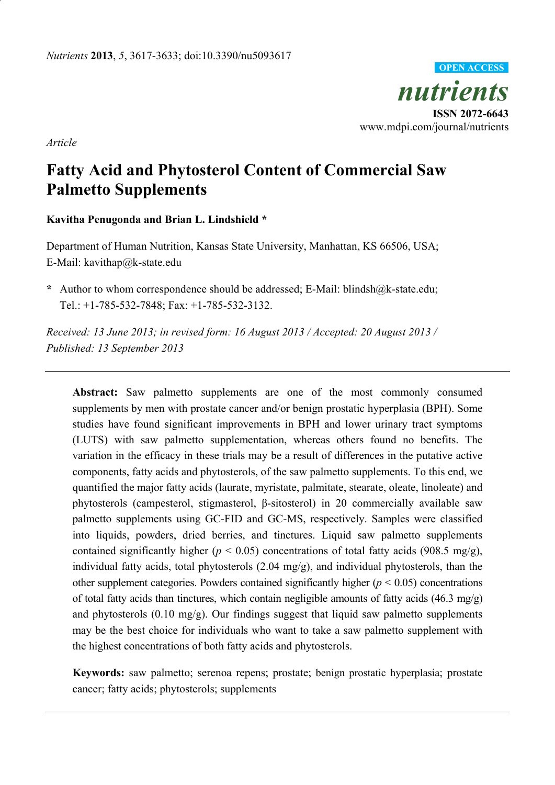

*Article* 

# **Fatty Acid and Phytosterol Content of Commercial Saw Palmetto Supplements**

## **Kavitha Penugonda and Brian L. Lindshield \***

Department of Human Nutrition, Kansas State University, Manhattan, KS 66506, USA; E-Mail: kavithap@k-state.edu

**\*** Author to whom correspondence should be addressed; E-Mail: blindsh@k-state.edu; Tel.: +1-785-532-7848; Fax: +1-785-532-3132.

*Received: 13 June 2013; in revised form: 16 August 2013 / Accepted: 20 August 2013 / Published: 13 September 2013* 

**Abstract:** Saw palmetto supplements are one of the most commonly consumed supplements by men with prostate cancer and/or benign prostatic hyperplasia (BPH). Some studies have found significant improvements in BPH and lower urinary tract symptoms (LUTS) with saw palmetto supplementation, whereas others found no benefits. The variation in the efficacy in these trials may be a result of differences in the putative active components, fatty acids and phytosterols, of the saw palmetto supplements. To this end, we quantified the major fatty acids (laurate, myristate, palmitate, stearate, oleate, linoleate) and phytosterols (campesterol, stigmasterol, β-sitosterol) in 20 commercially available saw palmetto supplements using GC-FID and GC-MS, respectively. Samples were classified into liquids, powders, dried berries, and tinctures. Liquid saw palmetto supplements contained significantly higher ( $p < 0.05$ ) concentrations of total fatty acids (908.5 mg/g), individual fatty acids, total phytosterols (2.04 mg/g), and individual phytosterols, than the other supplement categories. Powders contained significantly higher  $(p < 0.05)$  concentrations of total fatty acids than tinctures, which contain negligible amounts of fatty acids (46.3 mg/g) and phytosterols  $(0.10 \text{ mg/g})$ . Our findings suggest that liquid saw palmetto supplements may be the best choice for individuals who want to take a saw palmetto supplement with the highest concentrations of both fatty acids and phytosterols.

**Keywords:** saw palmetto; serenoa repens; prostate; benign prostatic hyperplasia; prostate cancer; fatty acids; phytosterols; supplements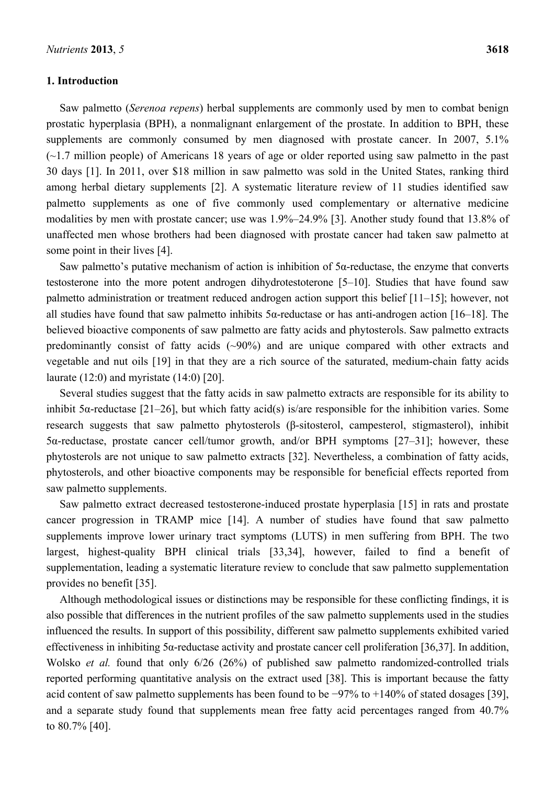## **1. Introduction**

Saw palmetto (*Serenoa repens*) herbal supplements are commonly used by men to combat benign prostatic hyperplasia (BPH), a nonmalignant enlargement of the prostate. In addition to BPH, these supplements are commonly consumed by men diagnosed with prostate cancer. In 2007, 5.1%  $(-1.7$  million people) of Americans 18 years of age or older reported using saw palmetto in the past 30 days [1]. In 2011, over \$18 million in saw palmetto was sold in the United States, ranking third among herbal dietary supplements [2]. A systematic literature review of 11 studies identified saw palmetto supplements as one of five commonly used complementary or alternative medicine modalities by men with prostate cancer; use was 1.9%–24.9% [3]. Another study found that 13.8% of unaffected men whose brothers had been diagnosed with prostate cancer had taken saw palmetto at some point in their lives [4].

Saw palmetto's putative mechanism of action is inhibition of 5α-reductase, the enzyme that converts testosterone into the more potent androgen dihydrotestoterone [5–10]. Studies that have found saw palmetto administration or treatment reduced androgen action support this belief [11–15]; however, not all studies have found that saw palmetto inhibits 5α-reductase or has anti-androgen action [16–18]. The believed bioactive components of saw palmetto are fatty acids and phytosterols. Saw palmetto extracts predominantly consist of fatty acids  $(\sim)0\%$  and are unique compared with other extracts and vegetable and nut oils [19] in that they are a rich source of the saturated, medium-chain fatty acids laurate (12:0) and myristate (14:0) [20].

Several studies suggest that the fatty acids in saw palmetto extracts are responsible for its ability to inhibit 5 $\alpha$ -reductase [21–26], but which fatty acid(s) is/are responsible for the inhibition varies. Some research suggests that saw palmetto phytosterols (β-sitosterol, campesterol, stigmasterol), inhibit 5α-reductase, prostate cancer cell/tumor growth, and/or BPH symptoms [27–31]; however, these phytosterols are not unique to saw palmetto extracts [32]. Nevertheless, a combination of fatty acids, phytosterols, and other bioactive components may be responsible for beneficial effects reported from saw palmetto supplements.

Saw palmetto extract decreased testosterone-induced prostate hyperplasia [15] in rats and prostate cancer progression in TRAMP mice [14]. A number of studies have found that saw palmetto supplements improve lower urinary tract symptoms (LUTS) in men suffering from BPH. The two largest, highest-quality BPH clinical trials [33,34], however, failed to find a benefit of supplementation, leading a systematic literature review to conclude that saw palmetto supplementation provides no benefit [35].

Although methodological issues or distinctions may be responsible for these conflicting findings, it is also possible that differences in the nutrient profiles of the saw palmetto supplements used in the studies influenced the results. In support of this possibility, different saw palmetto supplements exhibited varied effectiveness in inhibiting 5α-reductase activity and prostate cancer cell proliferation [36,37]. In addition, Wolsko *et al.* found that only 6/26 (26%) of published saw palmetto randomized-controlled trials reported performing quantitative analysis on the extract used [38]. This is important because the fatty acid content of saw palmetto supplements has been found to be −97% to +140% of stated dosages [39], and a separate study found that supplements mean free fatty acid percentages ranged from 40.7% to 80.7% [40].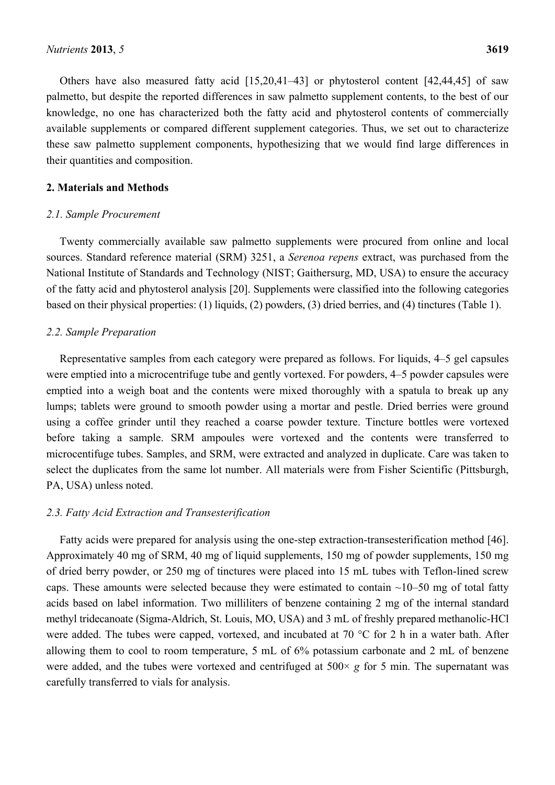Others have also measured fatty acid [15,20,41–43] or phytosterol content [42,44,45] of saw palmetto, but despite the reported differences in saw palmetto supplement contents, to the best of our knowledge, no one has characterized both the fatty acid and phytosterol contents of commercially available supplements or compared different supplement categories. Thus, we set out to characterize these saw palmetto supplement components, hypothesizing that we would find large differences in their quantities and composition.

#### **2. Materials and Methods**

#### *2.1. Sample Procurement*

Twenty commercially available saw palmetto supplements were procured from online and local sources. Standard reference material (SRM) 3251, a *Serenoa repens* extract, was purchased from the National Institute of Standards and Technology (NIST; Gaithersurg, MD, USA) to ensure the accuracy of the fatty acid and phytosterol analysis [20]. Supplements were classified into the following categories based on their physical properties: (1) liquids, (2) powders, (3) dried berries, and (4) tinctures (Table 1).

### *2.2. Sample Preparation*

Representative samples from each category were prepared as follows. For liquids, 4–5 gel capsules were emptied into a microcentrifuge tube and gently vortexed. For powders, 4–5 powder capsules were emptied into a weigh boat and the contents were mixed thoroughly with a spatula to break up any lumps; tablets were ground to smooth powder using a mortar and pestle. Dried berries were ground using a coffee grinder until they reached a coarse powder texture. Tincture bottles were vortexed before taking a sample. SRM ampoules were vortexed and the contents were transferred to microcentifuge tubes. Samples, and SRM, were extracted and analyzed in duplicate. Care was taken to select the duplicates from the same lot number. All materials were from Fisher Scientific (Pittsburgh, PA, USA) unless noted.

### *2.3. Fatty Acid Extraction and Transesterification*

Fatty acids were prepared for analysis using the one-step extraction-transesterification method [46]. Approximately 40 mg of SRM, 40 mg of liquid supplements, 150 mg of powder supplements, 150 mg of dried berry powder, or 250 mg of tinctures were placed into 15 mL tubes with Teflon-lined screw caps. These amounts were selected because they were estimated to contain  $\sim$ 10–50 mg of total fatty acids based on label information. Two milliliters of benzene containing 2 mg of the internal standard methyl tridecanoate (Sigma-Aldrich, St. Louis, MO, USA) and 3 mL of freshly prepared methanolic-HCl were added. The tubes were capped, vortexed, and incubated at 70 °C for 2 h in a water bath. After allowing them to cool to room temperature, 5 mL of 6% potassium carbonate and 2 mL of benzene were added, and the tubes were vortexed and centrifuged at 500× *g* for 5 min. The supernatant was carefully transferred to vials for analysis.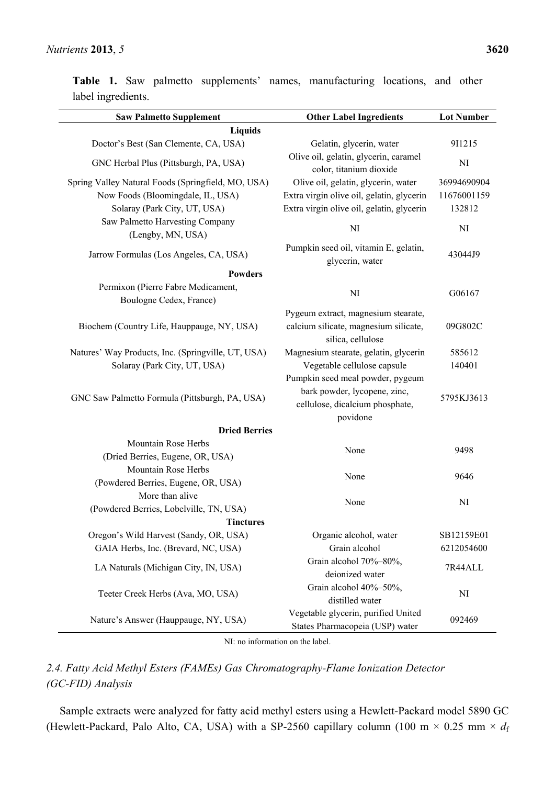**Table 1.** Saw palmetto supplements' names, manufacturing locations, and other label ingredients.

| <b>Saw Palmetto Supplement</b>                     | <b>Other Label Ingredients</b>                                         | <b>Lot Number</b> |
|----------------------------------------------------|------------------------------------------------------------------------|-------------------|
| <b>Liquids</b>                                     |                                                                        |                   |
| Doctor's Best (San Clemente, CA, USA)              | Gelatin, glycerin, water                                               | 911215            |
| GNC Herbal Plus (Pittsburgh, PA, USA)              | Olive oil, gelatin, glycerin, caramel<br>color, titanium dioxide       | NI                |
| Spring Valley Natural Foods (Springfield, MO, USA) | Olive oil, gelatin, glycerin, water                                    | 36994690904       |
| Now Foods (Bloomingdale, IL, USA)                  | Extra virgin olive oil, gelatin, glycerin                              | 11676001159       |
| Solaray (Park City, UT, USA)                       | Extra virgin olive oil, gelatin, glycerin                              | 132812            |
| Saw Palmetto Harvesting Company                    | NI                                                                     | NI                |
| (Lengby, MN, USA)                                  |                                                                        |                   |
| Jarrow Formulas (Los Angeles, CA, USA)             | Pumpkin seed oil, vitamin E, gelatin,<br>glycerin, water               | 43044J9           |
| <b>Powders</b>                                     |                                                                        |                   |
| Permixon (Pierre Fabre Medicament,                 | NI                                                                     | G06167            |
| Boulogne Cedex, France)                            |                                                                        |                   |
|                                                    | Pygeum extract, magnesium stearate,                                    |                   |
| Biochem (Country Life, Hauppauge, NY, USA)         | calcium silicate, magnesium silicate,<br>silica, cellulose             | 09G802C           |
| Natures' Way Products, Inc. (Springville, UT, USA) | Magnesium stearate, gelatin, glycerin                                  | 585612            |
| Solaray (Park City, UT, USA)                       | Vegetable cellulose capsule                                            | 140401            |
|                                                    | Pumpkin seed meal powder, pygeum                                       |                   |
| GNC Saw Palmetto Formula (Pittsburgh, PA, USA)     | bark powder, lycopene, zinc,<br>cellulose, dicalcium phosphate,        | 5795KJ3613        |
| <b>Dried Berries</b>                               | povidone                                                               |                   |
| Mountain Rose Herbs                                |                                                                        |                   |
| (Dried Berries, Eugene, OR, USA)                   | None                                                                   | 9498              |
| Mountain Rose Herbs                                |                                                                        |                   |
| (Powdered Berries, Eugene, OR, USA)                | None                                                                   | 9646              |
| More than alive                                    |                                                                        |                   |
| (Powdered Berries, Lobelville, TN, USA)            | None                                                                   | NI                |
| <b>Tinctures</b>                                   |                                                                        |                   |
| Oregon's Wild Harvest (Sandy, OR, USA)             | Organic alcohol, water                                                 | SB12159E01        |
| GAIA Herbs, Inc. (Brevard, NC, USA)                | Grain alcohol                                                          | 6212054600        |
|                                                    | Grain alcohol 70%-80%,                                                 | 7R44ALL           |
| LA Naturals (Michigan City, IN, USA)               | deionized water                                                        |                   |
| Teeter Creek Herbs (Ava, MO, USA)                  | Grain alcohol 40%-50%,                                                 | NI                |
|                                                    | distilled water                                                        |                   |
| Nature's Answer (Hauppauge, NY, USA)               | Vegetable glycerin, purified United<br>States Pharmacopeia (USP) water | 092469            |

NI: no information on the label.

# *2.4. Fatty Acid Methyl Esters (FAMEs) Gas Chromatography-Flame Ionization Detector (GC-FID) Analysis*

Sample extracts were analyzed for fatty acid methyl esters using a Hewlett-Packard model 5890 GC (Hewlett-Packard, Palo Alto, CA, USA) with a SP-2560 capillary column (100 m  $\times$  0.25 mm  $\times$   $d_f$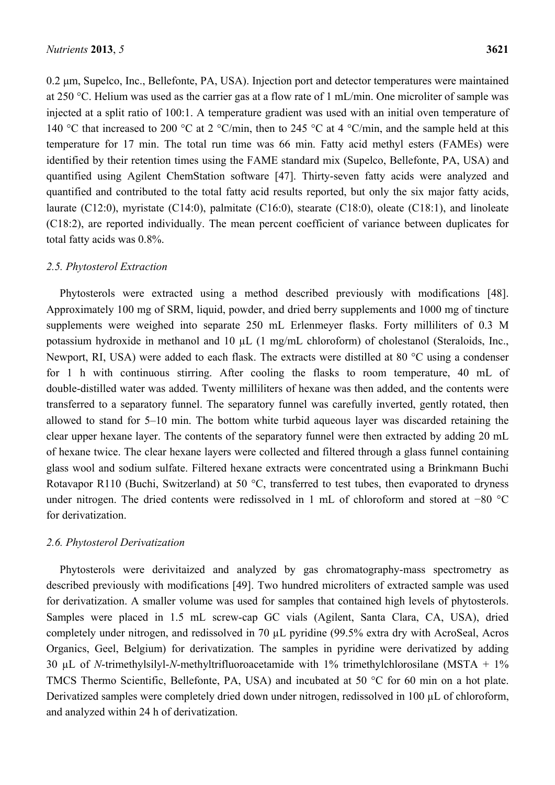0.2 μm, Supelco, Inc., Bellefonte, PA, USA). Injection port and detector temperatures were maintained at 250 °C. Helium was used as the carrier gas at a flow rate of 1 mL/min. One microliter of sample was injected at a split ratio of 100:1. A temperature gradient was used with an initial oven temperature of 140 °C that increased to 200 °C at 2 °C/min, then to 245 °C at 4 °C/min, and the sample held at this temperature for 17 min. The total run time was 66 min. Fatty acid methyl esters (FAMEs) were identified by their retention times using the FAME standard mix (Supelco, Bellefonte, PA, USA) and quantified using Agilent ChemStation software [47]. Thirty-seven fatty acids were analyzed and quantified and contributed to the total fatty acid results reported, but only the six major fatty acids, laurate (C12:0), myristate (C14:0), palmitate (C16:0), stearate (C18:0), oleate (C18:1), and linoleate (C18:2), are reported individually. The mean percent coefficient of variance between duplicates for total fatty acids was 0.8%.

# *2.5. Phytosterol Extraction*

Phytosterols were extracted using a method described previously with modifications [48]. Approximately 100 mg of SRM, liquid, powder, and dried berry supplements and 1000 mg of tincture supplements were weighed into separate 250 mL Erlenmeyer flasks. Forty milliliters of 0.3 M potassium hydroxide in methanol and 10  $\mu$ L (1 mg/mL chloroform) of cholestanol (Steraloids, Inc., Newport, RI, USA) were added to each flask. The extracts were distilled at 80 °C using a condenser for 1 h with continuous stirring. After cooling the flasks to room temperature, 40 mL of double-distilled water was added. Twenty milliliters of hexane was then added, and the contents were transferred to a separatory funnel. The separatory funnel was carefully inverted, gently rotated, then allowed to stand for 5–10 min. The bottom white turbid aqueous layer was discarded retaining the clear upper hexane layer. The contents of the separatory funnel were then extracted by adding 20 mL of hexane twice. The clear hexane layers were collected and filtered through a glass funnel containing glass wool and sodium sulfate. Filtered hexane extracts were concentrated using a Brinkmann Buchi Rotavapor R110 (Buchi, Switzerland) at 50 °C, transferred to test tubes, then evaporated to dryness under nitrogen. The dried contents were redissolved in 1 mL of chloroform and stored at −80 °C for derivatization.

## *2.6. Phytosterol Derivatization*

Phytosterols were derivitaized and analyzed by gas chromatography-mass spectrometry as described previously with modifications [49]. Two hundred microliters of extracted sample was used for derivatization. A smaller volume was used for samples that contained high levels of phytosterols. Samples were placed in 1.5 mL screw-cap GC vials (Agilent, Santa Clara, CA, USA), dried completely under nitrogen, and redissolved in 70 µL pyridine (99.5% extra dry with AcroSeal, Acros Organics, Geel, Belgium) for derivatization. The samples in pyridine were derivatized by adding 30 µL of *N*-trimethylsilyl-*N*-methyltrifluoroacetamide with 1% trimethylchlorosilane (MSTA + 1% TMCS Thermo Scientific, Bellefonte, PA, USA) and incubated at 50 °C for 60 min on a hot plate. Derivatized samples were completely dried down under nitrogen, redissolved in 100 µL of chloroform, and analyzed within 24 h of derivatization.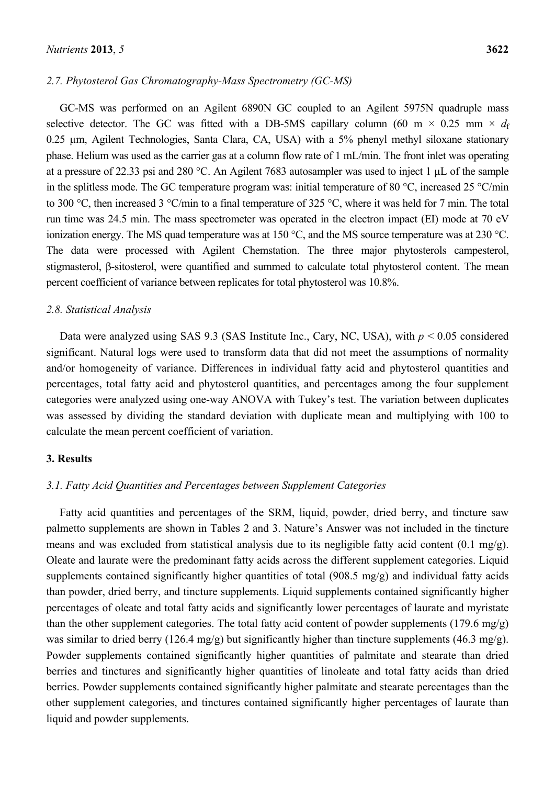GC-MS was performed on an Agilent 6890N GC coupled to an Agilent 5975N quadruple mass selective detector. The GC was fitted with a DB-5MS capillary column (60 m  $\times$  0.25 mm  $\times$  *d*f 0.25 µm, Agilent Technologies, Santa Clara, CA, USA) with a 5% phenyl methyl siloxane stationary phase. Helium was used as the carrier gas at a column flow rate of 1 mL/min. The front inlet was operating at a pressure of 22.33 psi and 280 °C. An Agilent 7683 autosampler was used to inject 1 µL of the sample in the splitless mode. The GC temperature program was: initial temperature of 80 °C, increased 25 °C/min to 300 °C, then increased 3 °C/min to a final temperature of 325 °C, where it was held for 7 min. The total run time was 24.5 min. The mass spectrometer was operated in the electron impact (EI) mode at 70 eV ionization energy. The MS quad temperature was at 150 °C, and the MS source temperature was at 230 °C. The data were processed with Agilent Chemstation. The three major phytosterols campesterol, stigmasterol, β-sitosterol, were quantified and summed to calculate total phytosterol content. The mean percent coefficient of variance between replicates for total phytosterol was 10.8%.

### *2.8. Statistical Analysis*

Data were analyzed using SAS 9.3 (SAS Institute Inc., Cary, NC, USA), with *p* < 0.05 considered significant. Natural logs were used to transform data that did not meet the assumptions of normality and/or homogeneity of variance. Differences in individual fatty acid and phytosterol quantities and percentages, total fatty acid and phytosterol quantities, and percentages among the four supplement categories were analyzed using one-way ANOVA with Tukey's test. The variation between duplicates was assessed by dividing the standard deviation with duplicate mean and multiplying with 100 to calculate the mean percent coefficient of variation.

#### **3. Results**

## *3.1. Fatty Acid Quantities and Percentages between Supplement Categories*

Fatty acid quantities and percentages of the SRM, liquid, powder, dried berry, and tincture saw palmetto supplements are shown in Tables 2 and 3. Nature's Answer was not included in the tincture means and was excluded from statistical analysis due to its negligible fatty acid content (0.1 mg/g). Oleate and laurate were the predominant fatty acids across the different supplement categories. Liquid supplements contained significantly higher quantities of total (908.5 mg/g) and individual fatty acids than powder, dried berry, and tincture supplements. Liquid supplements contained significantly higher percentages of oleate and total fatty acids and significantly lower percentages of laurate and myristate than the other supplement categories. The total fatty acid content of powder supplements (179.6 mg/g) was similar to dried berry (126.4 mg/g) but significantly higher than tincture supplements (46.3 mg/g). Powder supplements contained significantly higher quantities of palmitate and stearate than dried berries and tinctures and significantly higher quantities of linoleate and total fatty acids than dried berries. Powder supplements contained significantly higher palmitate and stearate percentages than the other supplement categories, and tinctures contained significantly higher percentages of laurate than liquid and powder supplements.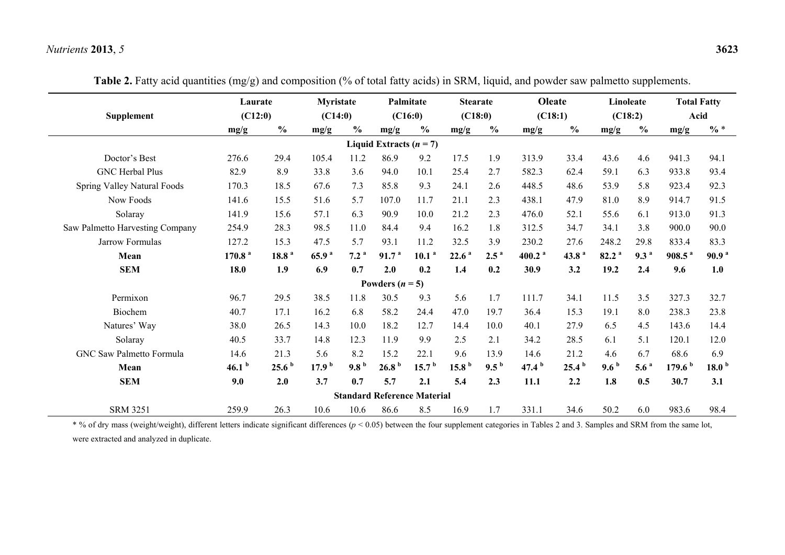| <b>Supplement</b>               | Laurate<br>(C12:0) |                   | <b>Myristate</b><br>(C14:0) |                  |                                    | Palmitate<br>(C16:0) | <b>Stearate</b><br>(C18:0) |                  | Oleate<br>(C18:1) |                   |                   | Linoleate<br>(C18:2) |                    | <b>Total Fatty</b><br>Acid |
|---------------------------------|--------------------|-------------------|-----------------------------|------------------|------------------------------------|----------------------|----------------------------|------------------|-------------------|-------------------|-------------------|----------------------|--------------------|----------------------------|
|                                 | mg/g               | $\frac{0}{0}$     | mg/g                        | $\frac{0}{0}$    | mg/g                               | $\frac{0}{0}$        | mg/g                       | $\frac{0}{0}$    | mg/g              | $\frac{0}{0}$     | mg/g              | $\frac{6}{6}$        | mg/g               | $\% *$                     |
|                                 |                    |                   |                             |                  | Liquid Extracts $(n = 7)$          |                      |                            |                  |                   |                   |                   |                      |                    |                            |
| Doctor's Best                   | 276.6              | 29.4              | 105.4                       | 11.2             | 86.9                               | 9.2                  | 17.5                       | 1.9              | 313.9             | 33.4              | 43.6              | 4.6                  | 941.3              | 94.1                       |
| <b>GNC Herbal Plus</b>          | 82.9               | 8.9               | 33.8                        | 3.6              | 94.0                               | 10.1                 | 25.4                       | 2.7              | 582.3             | 62.4              | 59.1              | 6.3                  | 933.8              | 93.4                       |
| Spring Valley Natural Foods     | 170.3              | 18.5              | 67.6                        | 7.3              | 85.8                               | 9.3                  | 24.1                       | 2.6              | 448.5             | 48.6              | 53.9              | 5.8                  | 923.4              | 92.3                       |
| Now Foods                       | 141.6              | 15.5              | 51.6                        | 5.7              | 107.0                              | 11.7                 | 21.1                       | 2.3              | 438.1             | 47.9              | 81.0              | 8.9                  | 914.7              | 91.5                       |
| Solaray                         | 141.9              | 15.6              | 57.1                        | 6.3              | 90.9                               | 10.0                 | 21.2                       | 2.3              | 476.0             | 52.1              | 55.6              | 6.1                  | 913.0              | 91.3                       |
| Saw Palmetto Harvesting Company | 254.9              | 28.3              | 98.5                        | 11.0             | 84.4                               | 9.4                  | 16.2                       | 1.8              | 312.5             | 34.7              | 34.1              | 3.8                  | 900.0              | 90.0                       |
| Jarrow Formulas                 | 127.2              | 15.3              | 47.5                        | 5.7              | 93.1                               | 11.2                 | 32.5                       | 3.9              | 230.2             | 27.6              | 248.2             | 29.8                 | 833.4              | 83.3                       |
| Mean                            | 170.8 <sup>a</sup> | 18.8 <sup>a</sup> | 65.9 <sup>a</sup>           | 7.2 <sup>a</sup> | 91.7 <sup>a</sup>                  | 10.1 <sup>a</sup>    | 22.6 <sup>a</sup>          | $2.5^{\circ}$    | 400.2 $^{a}$      | 43.8 <sup>a</sup> | 82.2 <sup>a</sup> | 9.3 <sup>a</sup>     | 908.5 <sup>a</sup> | 90.9 <sup>a</sup>          |
| <b>SEM</b>                      | 18.0               | 1.9               | 6.9                         | 0.7              | 2.0                                | 0.2                  | 1.4                        | 0.2              | 30.9              | 3.2               | 19.2              | 2.4                  | 9.6                | 1.0                        |
|                                 |                    |                   |                             |                  | Powders $(n=5)$                    |                      |                            |                  |                   |                   |                   |                      |                    |                            |
| Permixon                        | 96.7               | 29.5              | 38.5                        | 11.8             | 30.5                               | 9.3                  | 5.6                        | 1.7              | 111.7             | 34.1              | 11.5              | 3.5                  | 327.3              | 32.7                       |
| Biochem                         | 40.7               | 17.1              | 16.2                        | 6.8              | 58.2                               | 24.4                 | 47.0                       | 19.7             | 36.4              | 15.3              | 19.1              | 8.0                  | 238.3              | 23.8                       |
| Natures' Way                    | 38.0               | 26.5              | 14.3                        | 10.0             | 18.2                               | 12.7                 | 14.4                       | 10.0             | 40.1              | 27.9              | 6.5               | 4.5                  | 143.6              | 14.4                       |
| Solaray                         | 40.5               | 33.7              | 14.8                        | 12.3             | 11.9                               | 9.9                  | 2.5                        | 2.1              | 34.2              | 28.5              | 6.1               | 5.1                  | 120.1              | 12.0                       |
| <b>GNC Saw Palmetto Formula</b> | 14.6               | 21.3              | 5.6                         | 8.2              | 15.2                               | 22.1                 | 9.6                        | 13.9             | 14.6              | 21.2              | 4.6               | 6.7                  | 68.6               | 6.9                        |
| Mean                            | 46.1 $b$           | 25.6 <sup>b</sup> | 17.9 <sup>b</sup>           | 9.8 <sup>b</sup> | 26.8 <sup>b</sup>                  | 15.7 <sup>b</sup>    | 15.8 <sup>b</sup>          | 9.5 <sup>b</sup> | 47.4 <sup>b</sup> | 25.4 <sup>b</sup> | 9.6 <sup>b</sup>  | 5.6 <sup>a</sup>     | 179.6 <sup>b</sup> | 18.0 <sup>b</sup>          |
| <b>SEM</b>                      | 9.0                | 2.0               | 3.7                         | 0.7              | 5.7                                | 2.1                  | 5.4                        | 2.3              | 11.1              | 2.2               | 1.8               | 0.5                  | 30.7               | 3.1                        |
|                                 |                    |                   |                             |                  | <b>Standard Reference Material</b> |                      |                            |                  |                   |                   |                   |                      |                    |                            |
| <b>SRM 3251</b>                 | 259.9              | 26.3              | 10.6                        | 10.6             | 86.6                               | 8.5                  | 16.9                       | 1.7              | 331.1             | 34.6              | 50.2              | 6.0                  | 983.6              | 98.4                       |

**Table 2.** Fatty acid quantities (mg/g) and composition (% of total fatty acids) in SRM, liquid, and powder saw palmetto supplements.

\* % of dry mass (weight/weight), different letters indicate significant differences (*p* < 0.05) between the four supplement categories in Tables 2 and 3. Samples and SRM from the same lot, were extracted and analyzed in duplicate.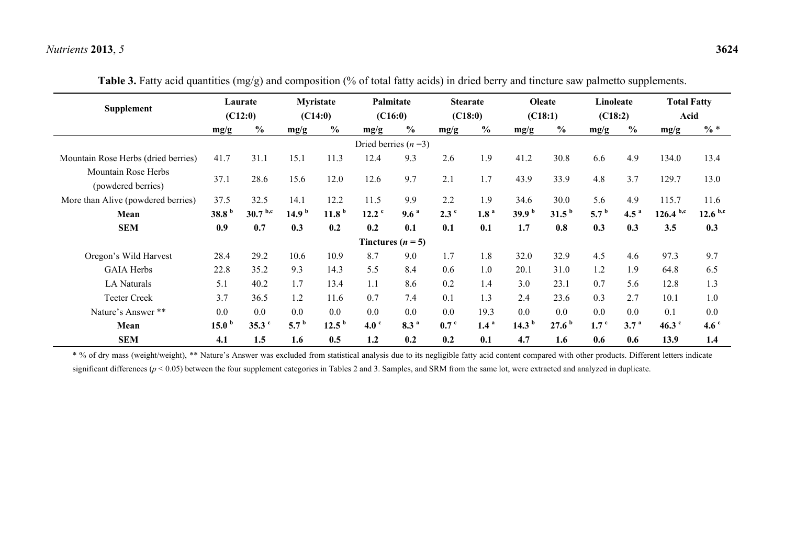|                                           |                   | Laurate           |                   | Myristate         |                       | Palmitate           |                  | <b>Stearate</b>  |                   | Oleate            | Linoleate        |                  | <b>Total Fatty</b> |                  |
|-------------------------------------------|-------------------|-------------------|-------------------|-------------------|-----------------------|---------------------|------------------|------------------|-------------------|-------------------|------------------|------------------|--------------------|------------------|
| Supplement                                | (C12:0)           |                   | (C14:0)           |                   | (C16:0)               |                     | (C18:0)          |                  | (C18:1)           |                   | (C18:2)          |                  | Acid               |                  |
|                                           | mg/g              | $\frac{0}{0}$     | mg/g              | $\frac{6}{6}$     | mg/g                  | $\frac{6}{6}$       | mg/g             | $\frac{0}{0}$    | mg/g              | $\frac{0}{0}$     | mg/g             | $\frac{6}{6}$    | mg/g               | $\% *$           |
|                                           |                   |                   |                   |                   | Dried berries $(n=3)$ |                     |                  |                  |                   |                   |                  |                  |                    |                  |
| Mountain Rose Herbs (dried berries)       | 41.7              | 31.1              | 15.1              | 11.3              | 12.4                  | 9.3                 | 2.6              | 1.9              | 41.2              | 30.8              | 6.6              | 4.9              | 134.0              | 13.4             |
| Mountain Rose Herbs<br>(powdered berries) | 37.1              | 28.6              | 15.6              | 12.0              | 12.6                  | 9.7                 | 2.1              | 1.7              | 43.9              | 33.9              | 4.8              | 3.7              | 129.7              | 13.0             |
| More than Alive (powdered berries)        | 37.5              | 32.5              | 14.1              | 12.2              | 11.5                  | 9.9                 | 2.2              | 1.9              | 34.6              | 30.0              | 5.6              | 4.9              | 115.7              | 11.6             |
| Mean                                      | 38.8 <sup>b</sup> | $30.7^{b,c}$      | 14.9 <sup>b</sup> | 11.8 <sup>b</sup> | 12.2 <sup>c</sup>     | 9.6 <sup>a</sup>    | 2.3 <sup>c</sup> | 1.8 <sup>a</sup> | 39.9 <sup>b</sup> | 31.5 <sup>b</sup> | 5.7 <sup>b</sup> | 4.5 $^{a}$       | $126.4^{b,c}$      | $12.6^{b,c}$     |
| <b>SEM</b>                                | 0.9               | 0.7               | 0.3               | 0.2               | 0.2                   | 0.1                 | 0.1              | 0.1              | 1.7               | 0.8               | 0.3              | 0.3              | 3.5                | 0.3              |
|                                           |                   |                   |                   |                   |                       | Tinctures $(n = 5)$ |                  |                  |                   |                   |                  |                  |                    |                  |
| Oregon's Wild Harvest                     | 28.4              | 29.2              | 10.6              | 10.9              | 8.7                   | 9.0                 | 1.7              | 1.8              | 32.0              | 32.9              | 4.5              | 4.6              | 97.3               | 9.7              |
| <b>GAIA Herbs</b>                         | 22.8              | 35.2              | 9.3               | 14.3              | 5.5                   | 8.4                 | 0.6              | 1.0              | 20.1              | 31.0              | 1.2              | 1.9              | 64.8               | 6.5              |
| <b>LA Naturals</b>                        | 5.1               | 40.2              | 1.7               | 13.4              | 1.1                   | 8.6                 | 0.2              | 1.4              | 3.0               | 23.1              | 0.7              | 5.6              | 12.8               | 1.3              |
| <b>Teeter Creek</b>                       | 3.7               | 36.5              | 1.2               | 11.6              | 0.7                   | 7.4                 | 0.1              | 1.3              | 2.4               | 23.6              | 0.3              | 2.7              | 10.1               | 1.0              |
| Nature's Answer **                        | 0.0               | 0.0               | 0.0               | 0.0               | 0.0                   | 0.0                 | 0.0              | 19.3             | 0.0               | 0.0               | 0.0              | 0.0              | 0.1                | 0.0              |
| Mean                                      | 15.0 <sup>b</sup> | 35.3 <sup>c</sup> | 5.7 <sup>b</sup>  | 12.5 <sup>b</sup> | 4.0 <sup>c</sup>      | 8.3 <sup>a</sup>    | 0.7 <sup>c</sup> | 1.4 <sup>a</sup> | 14.3 $^{\rm b}$   | 27.6 <sup>b</sup> | 1.7 <sup>c</sup> | 3.7 <sup>a</sup> | 46.3 $\degree$     | 4.6 <sup>c</sup> |
| <b>SEM</b>                                | 4.1               | 1.5               | 1.6               | 0.5               | 1.2                   | 0.2                 | 0.2              | 0.1              | 4.7               | 1.6               | 0.6              | 0.6              | 13.9               | 1.4              |

**Table 3.** Fatty acid quantities (mg/g) and composition (% of total fatty acids) in dried berry and tincture saw palmetto supplements.

\* % of dry mass (weight/weight), \*\* Nature's Answer was excluded from statistical analysis due to its negligible fatty acid content compared with other products. Different letters indicate significant differences ( $p < 0.05$ ) between the four supplement categories in Tables 2 and 3. Samples, and SRM from the same lot, were extracted and analyzed in duplicate.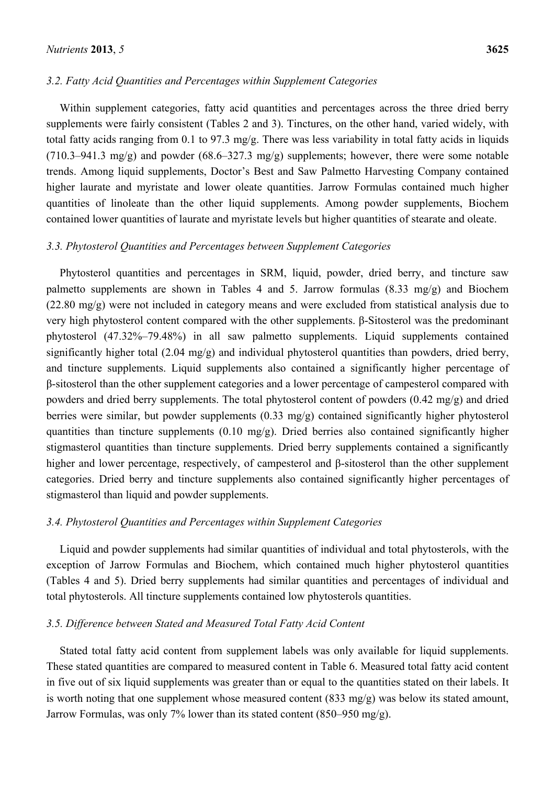## *3.2. Fatty Acid Quantities and Percentages within Supplement Categories*

Within supplement categories, fatty acid quantities and percentages across the three dried berry supplements were fairly consistent (Tables 2 and 3). Tinctures, on the other hand, varied widely, with total fatty acids ranging from 0.1 to 97.3 mg/g. There was less variability in total fatty acids in liquids (710.3–941.3 mg/g) and powder (68.6–327.3 mg/g) supplements; however, there were some notable trends. Among liquid supplements, Doctor's Best and Saw Palmetto Harvesting Company contained higher laurate and myristate and lower oleate quantities. Jarrow Formulas contained much higher quantities of linoleate than the other liquid supplements. Among powder supplements, Biochem contained lower quantities of laurate and myristate levels but higher quantities of stearate and oleate.

#### *3.3. Phytosterol Quantities and Percentages between Supplement Categories*

Phytosterol quantities and percentages in SRM, liquid, powder, dried berry, and tincture saw palmetto supplements are shown in Tables 4 and 5. Jarrow formulas (8.33 mg/g) and Biochem (22.80 mg/g) were not included in category means and were excluded from statistical analysis due to very high phytosterol content compared with the other supplements. β-Sitosterol was the predominant phytosterol (47.32%–79.48%) in all saw palmetto supplements. Liquid supplements contained significantly higher total (2.04 mg/g) and individual phytosterol quantities than powders, dried berry, and tincture supplements. Liquid supplements also contained a significantly higher percentage of β-sitosterol than the other supplement categories and a lower percentage of campesterol compared with powders and dried berry supplements. The total phytosterol content of powders (0.42 mg/g) and dried berries were similar, but powder supplements (0.33 mg/g) contained significantly higher phytosterol quantities than tincture supplements (0.10 mg/g). Dried berries also contained significantly higher stigmasterol quantities than tincture supplements. Dried berry supplements contained a significantly higher and lower percentage, respectively, of campesterol and β-sitosterol than the other supplement categories. Dried berry and tincture supplements also contained significantly higher percentages of stigmasterol than liquid and powder supplements.

#### *3.4. Phytosterol Quantities and Percentages within Supplement Categories*

Liquid and powder supplements had similar quantities of individual and total phytosterols, with the exception of Jarrow Formulas and Biochem, which contained much higher phytosterol quantities (Tables 4 and 5). Dried berry supplements had similar quantities and percentages of individual and total phytosterols. All tincture supplements contained low phytosterols quantities.

## *3.5. Difference between Stated and Measured Total Fatty Acid Content*

Stated total fatty acid content from supplement labels was only available for liquid supplements. These stated quantities are compared to measured content in Table 6. Measured total fatty acid content in five out of six liquid supplements was greater than or equal to the quantities stated on their labels. It is worth noting that one supplement whose measured content (833 mg/g) was below its stated amount, Jarrow Formulas, was only 7% lower than its stated content (850–950 mg/g).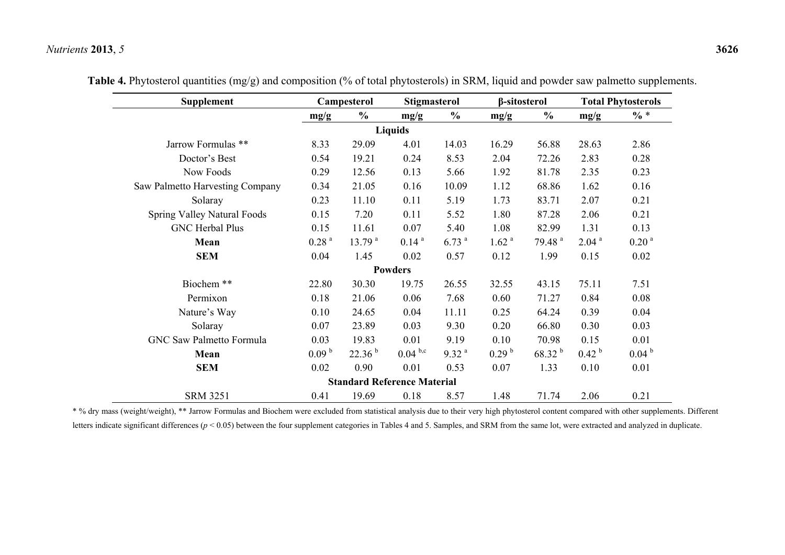| <b>Supplement</b>                      |                   | Campesterol        |                                    | <b>Stigmasterol</b> | β-sitosterol      |                    | <b>Total Phytosterols</b> |                   |  |
|----------------------------------------|-------------------|--------------------|------------------------------------|---------------------|-------------------|--------------------|---------------------------|-------------------|--|
|                                        | mg/g              | $\frac{0}{0}$      | mg/g                               | $\frac{0}{0}$       | mg/g              | $\frac{0}{0}$      | mg/g                      | $\% *$            |  |
|                                        |                   |                    |                                    |                     |                   |                    |                           |                   |  |
| Jarrow Formulas **                     | 8.33              | 29.09              | 4.01                               | 14.03               | 16.29             | 56.88              | 28.63                     | 2.86              |  |
| Doctor's Best                          | 0.54              | 19.21              | 0.24                               | 8.53                | 2.04              | 72.26              | 2.83                      | 0.28              |  |
| Now Foods                              | 0.29              | 12.56              | 0.13                               | 5.66                | 1.92              | 81.78              | 2.35                      | 0.23              |  |
| <b>Saw Palmetto Harvesting Company</b> | 0.34              | 21.05              | 0.16                               | 10.09               | 1.12              | 68.86              | 1.62                      | 0.16              |  |
| Solaray                                | 0.23              | 11.10              | 0.11                               | 5.19                | 1.73              | 83.71              | 2.07                      | 0.21              |  |
| Spring Valley Natural Foods            | 0.15              | 7.20               | 0.11                               | 5.52                | 1.80              | 87.28              | 2.06                      | 0.21              |  |
| <b>GNC Herbal Plus</b>                 | 0.15              | 11.61              | 0.07                               | 5.40                | 1.08              | 82.99              | 1.31                      | 0.13              |  |
| Mean                                   | 0.28 <sup>a</sup> | 13.79 <sup>a</sup> | 0.14 <sup>a</sup>                  | 6.73 <sup>a</sup>   | 1.62 <sup>a</sup> | 79.48 <sup>a</sup> | 2.04 <sup>a</sup>         | 0.20 <sup>a</sup> |  |
| <b>SEM</b>                             | 0.04              | 1.45               | 0.02                               | 0.57                | 0.12              | 1.99               | 0.15                      | 0.02              |  |
|                                        |                   |                    | <b>Powders</b>                     |                     |                   |                    |                           |                   |  |
| Biochem **                             | 22.80             | 30.30              | 19.75                              | 26.55               | 32.55             | 43.15              | 75.11                     | 7.51              |  |
| Permixon                               | 0.18              | 21.06              | 0.06                               | 7.68                | 0.60              | 71.27              | 0.84                      | 0.08              |  |
| Nature's Way                           | 0.10              | 24.65              | 0.04                               | 11.11               | 0.25              | 64.24              | 0.39                      | 0.04              |  |
| Solaray                                | 0.07              | 23.89              | 0.03                               | 9.30                | 0.20              | 66.80              | 0.30                      | 0.03              |  |
| <b>GNC Saw Palmetto Formula</b>        | 0.03              | 19.83              | 0.01                               | 9.19                | 0.10              | 70.98              | 0.15                      | 0.01              |  |
| Mean                                   | 0.09 <sup>b</sup> | 22.36 <sup>b</sup> | $0.04^{b,c}$                       | 9.32 <sup>a</sup>   | 0.29 <sup>b</sup> | $68.32^{b}$        | 0.42 <sup>b</sup>         | 0.04 <sup>b</sup> |  |
| <b>SEM</b>                             | 0.02              | 0.90               | 0.01                               | 0.53                | 0.07              | 1.33               | 0.10                      | 0.01              |  |
|                                        |                   |                    | <b>Standard Reference Material</b> |                     |                   |                    |                           |                   |  |
| <b>SRM 3251</b>                        | 0.41              | 19.69              | 0.18                               | 8.57                | 1.48              | 71.74              | 2.06                      | 0.21              |  |

**Table 4.** Phytosterol quantities (mg/g) and composition (% of total phytosterols) in SRM, liquid and powder saw palmetto supplements.

\* % dry mass (weight/weight), \*\* Jarrow Formulas and Biochem were excluded from statistical analysis due to their very high phytosterol content compared with other supplements. Different letters indicate significant differences ( $p < 0.05$ ) between the four supplement categories in Tables 4 and 5. Samples, and SRM from the same lot, were extracted and analyzed in duplicate.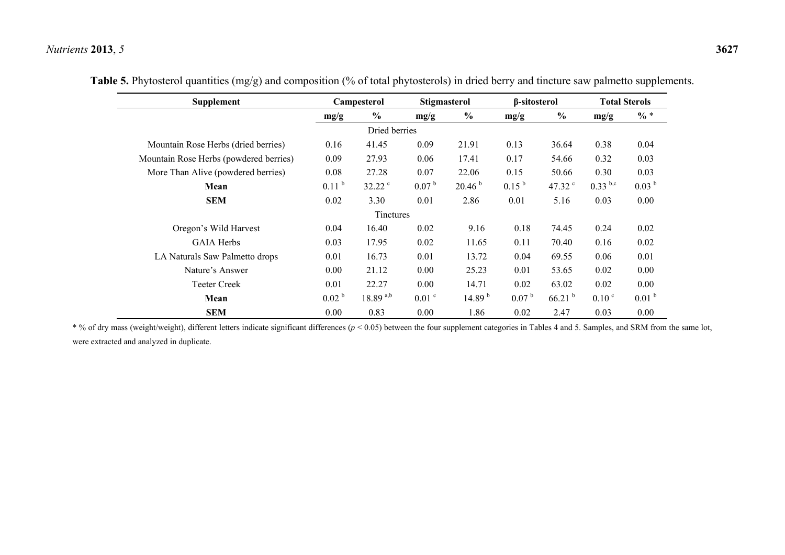| Supplement                             |                   | Campesterol   |                   | <b>Stigmasterol</b> | β-sitosterol      |                    | <b>Total Sterols</b> |                   |  |
|----------------------------------------|-------------------|---------------|-------------------|---------------------|-------------------|--------------------|----------------------|-------------------|--|
|                                        | mg/g              | $\frac{0}{0}$ | mg/g              | $\frac{0}{0}$       | mg/g              | $\frac{0}{0}$      | mg/g                 | $\% *$            |  |
|                                        |                   | Dried berries |                   |                     |                   |                    |                      |                   |  |
| Mountain Rose Herbs (dried berries)    | 0.16              | 41.45         | 0.09              | 21.91               | 0.13              | 36.64              | 0.38                 | 0.04              |  |
| Mountain Rose Herbs (powdered berries) | 0.09              | 27.93         | 0.06              | 17.41               | 0.17              | 54.66              | 0.32                 | 0.03              |  |
| More Than Alive (powdered berries)     | 0.08              | 27.28         | 0.07              | 22.06               | 0.15              | 50.66              | 0.30                 | 0.03              |  |
| Mean                                   | 0.11 <sup>b</sup> | 32.22 c       | 0.07 <sup>b</sup> | 20.46 <sup>b</sup>  | $0.15^{b}$        | 47.32 c            | $0.33^{ b,c}$        | 0.03 <sup>b</sup> |  |
| <b>SEM</b>                             | 0.02              | 3.30          | 0.01              | 2.86                | 0.01              | 5.16               | 0.03                 | 0.00              |  |
|                                        |                   | Tinctures     |                   |                     |                   |                    |                      |                   |  |
| Oregon's Wild Harvest                  | 0.04              | 16.40         | 0.02              | 9.16                | 0.18              | 74.45              | 0.24                 | 0.02              |  |
| <b>GAIA Herbs</b>                      | 0.03              | 17.95         | 0.02              | 11.65               | 0.11              | 70.40              | 0.16                 | 0.02              |  |
| LA Naturals Saw Palmetto drops         | 0.01              | 16.73         | 0.01              | 13.72               | 0.04              | 69.55              | 0.06                 | 0.01              |  |
| Nature's Answer                        | 0.00              | 21.12         | 0.00              | 25.23               | 0.01              | 53.65              | 0.02                 | 0.00              |  |
| <b>Teeter Creek</b>                    | 0.01              | 22.27         | 0.00              | 14.71               | 0.02              | 63.02              | 0.02                 | 0.00              |  |
| Mean                                   | 0.02 <sup>b</sup> | $18.89^{a,b}$ | $0.01$ $\degree$  | 14.89 <sup>b</sup>  | 0.07 <sup>b</sup> | 66.21 <sup>b</sup> | 0.10 <sup>c</sup>    | 0.01 <sup>b</sup> |  |
| <b>SEM</b>                             | 0.00              | 0.83          | 0.00              | 1.86                | 0.02              | 2.47               | 0.03                 | 0.00              |  |

**Table 5.** Phytosterol quantities (mg/g) and composition (% of total phytosterols) in dried berry and tincture saw palmetto supplements.

\* % of dry mass (weight/weight), different letters indicate significant differences (*p* < 0.05) between the four supplement categories in Tables 4 and 5. Samples, and SRM from the same lot, were extracted and analyzed in duplicate.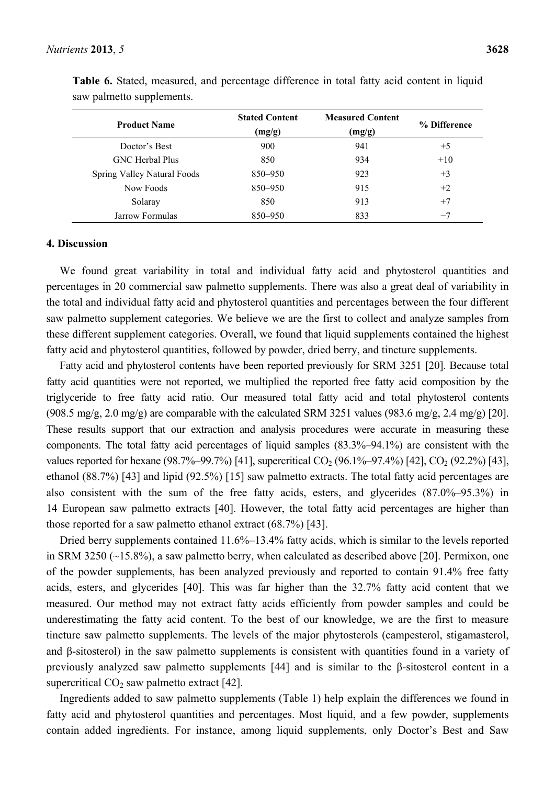| <b>Product Name</b>                | <b>Stated Content</b><br>(mg/g) | <b>Measured Content</b><br>(mg/g) | % Difference |
|------------------------------------|---------------------------------|-----------------------------------|--------------|
| Doctor's Best                      | 900                             | 941                               | $+5$         |
| <b>GNC</b> Herbal Plus             | 850                             | 934                               | $+10$        |
| <b>Spring Valley Natural Foods</b> | 850-950                         | 923                               | $+3$         |
| Now Foods                          | 850-950                         | 915                               | $+2$         |
| Solaray                            | 850                             | 913                               | $+7$         |
| Jarrow Formulas                    | 850-950                         | 833                               | $-7$         |

**Table 6.** Stated, measured, and percentage difference in total fatty acid content in liquid saw palmetto supplements.

#### **4. Discussion**

We found great variability in total and individual fatty acid and phytosterol quantities and percentages in 20 commercial saw palmetto supplements. There was also a great deal of variability in the total and individual fatty acid and phytosterol quantities and percentages between the four different saw palmetto supplement categories. We believe we are the first to collect and analyze samples from these different supplement categories. Overall, we found that liquid supplements contained the highest fatty acid and phytosterol quantities, followed by powder, dried berry, and tincture supplements.

Fatty acid and phytosterol contents have been reported previously for SRM 3251 [20]. Because total fatty acid quantities were not reported, we multiplied the reported free fatty acid composition by the triglyceride to free fatty acid ratio. Our measured total fatty acid and total phytosterol contents  $(908.5 \text{ mg/g}, 2.0 \text{ mg/g})$  are comparable with the calculated SRM 3251 values  $(983.6 \text{ mg/g}, 2.4 \text{ mg/g})$  [20]. These results support that our extraction and analysis procedures were accurate in measuring these components. The total fatty acid percentages of liquid samples (83.3%–94.1%) are consistent with the values reported for hexane (98.7%–99.7%) [41], supercritical  $CO_2$  (96.1%–97.4%) [42],  $CO_2$  (92.2%) [43], ethanol (88.7%) [43] and lipid (92.5%) [15] saw palmetto extracts. The total fatty acid percentages are also consistent with the sum of the free fatty acids, esters, and glycerides (87.0%–95.3%) in 14 European saw palmetto extracts [40]. However, the total fatty acid percentages are higher than those reported for a saw palmetto ethanol extract (68.7%) [43].

Dried berry supplements contained 11.6%–13.4% fatty acids, which is similar to the levels reported in SRM 3250 (~15.8%), a saw palmetto berry, when calculated as described above [20]. Permixon, one of the powder supplements, has been analyzed previously and reported to contain 91.4% free fatty acids, esters, and glycerides [40]. This was far higher than the 32.7% fatty acid content that we measured. Our method may not extract fatty acids efficiently from powder samples and could be underestimating the fatty acid content. To the best of our knowledge, we are the first to measure tincture saw palmetto supplements. The levels of the major phytosterols (campesterol, stigamasterol, and β-sitosterol) in the saw palmetto supplements is consistent with quantities found in a variety of previously analyzed saw palmetto supplements [44] and is similar to the β-sitosterol content in a supercritical  $CO<sub>2</sub>$  saw palmetto extract [42].

Ingredients added to saw palmetto supplements (Table 1) help explain the differences we found in fatty acid and phytosterol quantities and percentages. Most liquid, and a few powder, supplements contain added ingredients. For instance, among liquid supplements, only Doctor's Best and Saw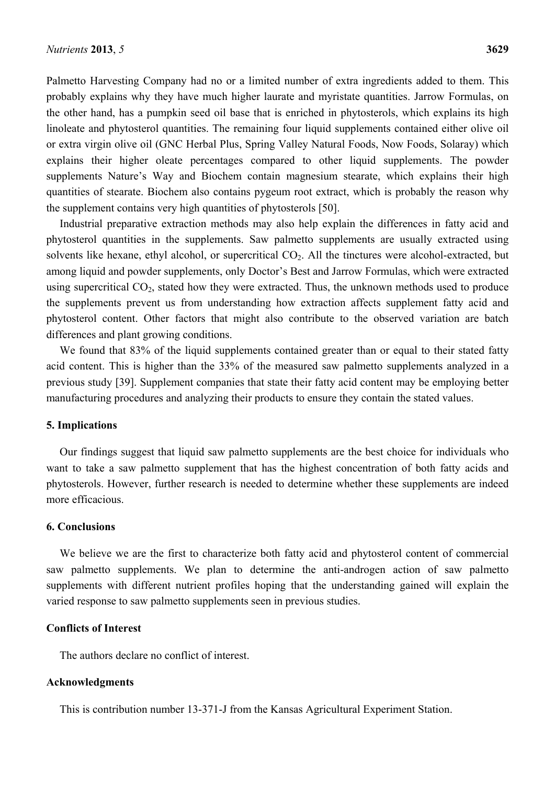Palmetto Harvesting Company had no or a limited number of extra ingredients added to them. This probably explains why they have much higher laurate and myristate quantities. Jarrow Formulas, on the other hand, has a pumpkin seed oil base that is enriched in phytosterols, which explains its high linoleate and phytosterol quantities. The remaining four liquid supplements contained either olive oil or extra virgin olive oil (GNC Herbal Plus, Spring Valley Natural Foods, Now Foods, Solaray) which explains their higher oleate percentages compared to other liquid supplements. The powder supplements Nature's Way and Biochem contain magnesium stearate, which explains their high quantities of stearate. Biochem also contains pygeum root extract, which is probably the reason why the supplement contains very high quantities of phytosterols [50].

Industrial preparative extraction methods may also help explain the differences in fatty acid and phytosterol quantities in the supplements. Saw palmetto supplements are usually extracted using solvents like hexane, ethyl alcohol, or supercritical  $CO<sub>2</sub>$ . All the tinctures were alcohol-extracted, but among liquid and powder supplements, only Doctor's Best and Jarrow Formulas, which were extracted using supercritical  $CO<sub>2</sub>$ , stated how they were extracted. Thus, the unknown methods used to produce the supplements prevent us from understanding how extraction affects supplement fatty acid and phytosterol content. Other factors that might also contribute to the observed variation are batch differences and plant growing conditions.

We found that 83% of the liquid supplements contained greater than or equal to their stated fatty acid content. This is higher than the 33% of the measured saw palmetto supplements analyzed in a previous study [39]. Supplement companies that state their fatty acid content may be employing better manufacturing procedures and analyzing their products to ensure they contain the stated values.

#### **5. Implications**

Our findings suggest that liquid saw palmetto supplements are the best choice for individuals who want to take a saw palmetto supplement that has the highest concentration of both fatty acids and phytosterols. However, further research is needed to determine whether these supplements are indeed more efficacious.

## **6. Conclusions**

We believe we are the first to characterize both fatty acid and phytosterol content of commercial saw palmetto supplements. We plan to determine the anti-androgen action of saw palmetto supplements with different nutrient profiles hoping that the understanding gained will explain the varied response to saw palmetto supplements seen in previous studies.

## **Conflicts of Interest**

The authors declare no conflict of interest.

## **Acknowledgments**

This is contribution number 13-371-J from the Kansas Agricultural Experiment Station.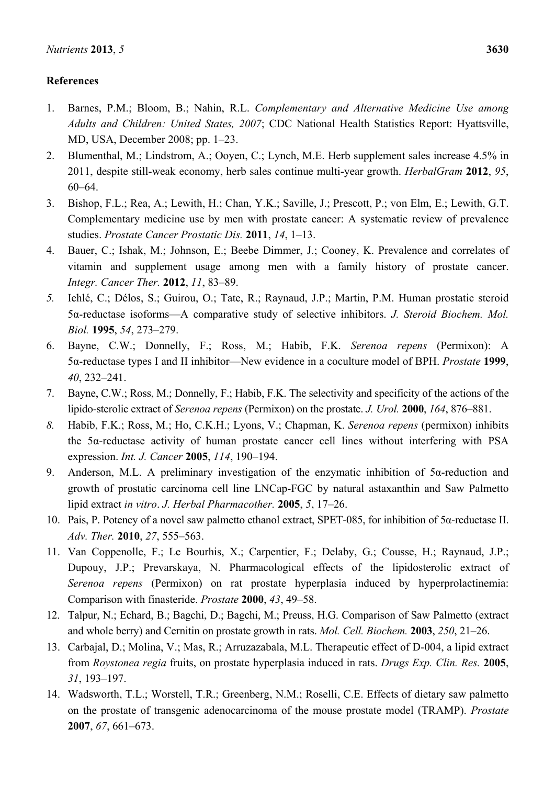# **References**

- 1. Barnes, P.M.; Bloom, B.; Nahin, R.L. *Complementary and Alternative Medicine Use among Adults and Children: United States, 2007*; CDC National Health Statistics Report: Hyattsville, MD, USA, December 2008; pp. 1–23.
- 2. Blumenthal, M.; Lindstrom, A.; Ooyen, C.; Lynch, M.E. Herb supplement sales increase 4.5% in 2011, despite still-weak economy, herb sales continue multi-year growth. *HerbalGram* **2012**, *95*, 60–64.
- 3. Bishop, F.L.; Rea, A.; Lewith, H.; Chan, Y.K.; Saville, J.; Prescott, P.; von Elm, E.; Lewith, G.T. Complementary medicine use by men with prostate cancer: A systematic review of prevalence studies. *Prostate Cancer Prostatic Dis.* **2011**, *14*, 1–13.
- 4. Bauer, C.; Ishak, M.; Johnson, E.; Beebe Dimmer, J.; Cooney, K. Prevalence and correlates of vitamin and supplement usage among men with a family history of prostate cancer. *Integr. Cancer Ther.* **2012**, *11*, 83–89.
- *5.* Iehlé, C.; Délos, S.; Guirou, O.; Tate, R.; Raynaud, J.P.; Martin, P.M. Human prostatic steroid 5α-reductase isoforms—A comparative study of selective inhibitors. *J. Steroid Biochem. Mol. Biol.* **1995**, *54*, 273–279.
- 6. Bayne, C.W.; Donnelly, F.; Ross, M.; Habib, F.K. *Serenoa repens* (Permixon): A 5α-reductase types I and II inhibitor—New evidence in a coculture model of BPH. *Prostate* **1999**, *40*, 232–241.
- 7. Bayne, C.W.; Ross, M.; Donnelly, F.; Habib, F.K. The selectivity and specificity of the actions of the lipido-sterolic extract of *Serenoa repens* (Permixon) on the prostate. *J. Urol.* **2000**, *164*, 876–881.
- *8.* Habib, F.K.; Ross, M.; Ho, C.K.H.; Lyons, V.; Chapman, K. *Serenoa repens* (permixon) inhibits the 5α-reductase activity of human prostate cancer cell lines without interfering with PSA expression. *Int. J. Cancer* **2005**, *114*, 190–194.
- 9. Anderson, M.L. A preliminary investigation of the enzymatic inhibition of 5α-reduction and growth of prostatic carcinoma cell line LNCap-FGC by natural astaxanthin and Saw Palmetto lipid extract *in vitro*. *J. Herbal Pharmacother.* **2005**, *5*, 17–26.
- 10. Pais, P. Potency of a novel saw palmetto ethanol extract, SPET-085, for inhibition of 5α-reductase II. *Adv. Ther.* **2010**, *27*, 555–563.
- 11. Van Coppenolle, F.; Le Bourhis, X.; Carpentier, F.; Delaby, G.; Cousse, H.; Raynaud, J.P.; Dupouy, J.P.; Prevarskaya, N. Pharmacological effects of the lipidosterolic extract of *Serenoa repens* (Permixon) on rat prostate hyperplasia induced by hyperprolactinemia: Comparison with finasteride. *Prostate* **2000**, *43*, 49–58.
- 12. Talpur, N.; Echard, B.; Bagchi, D.; Bagchi, M.; Preuss, H.G. Comparison of Saw Palmetto (extract and whole berry) and Cernitin on prostate growth in rats. *Mol. Cell. Biochem.* **2003**, *250*, 21–26.
- 13. Carbajal, D.; Molina, V.; Mas, R.; Arruzazabala, M.L. Therapeutic effect of D-004, a lipid extract from *Roystonea regia* fruits, on prostate hyperplasia induced in rats. *Drugs Exp. Clin. Res.* **2005**, *31*, 193–197.
- 14. Wadsworth, T.L.; Worstell, T.R.; Greenberg, N.M.; Roselli, C.E. Effects of dietary saw palmetto on the prostate of transgenic adenocarcinoma of the mouse prostate model (TRAMP). *Prostate*  **2007**, *67*, 661–673.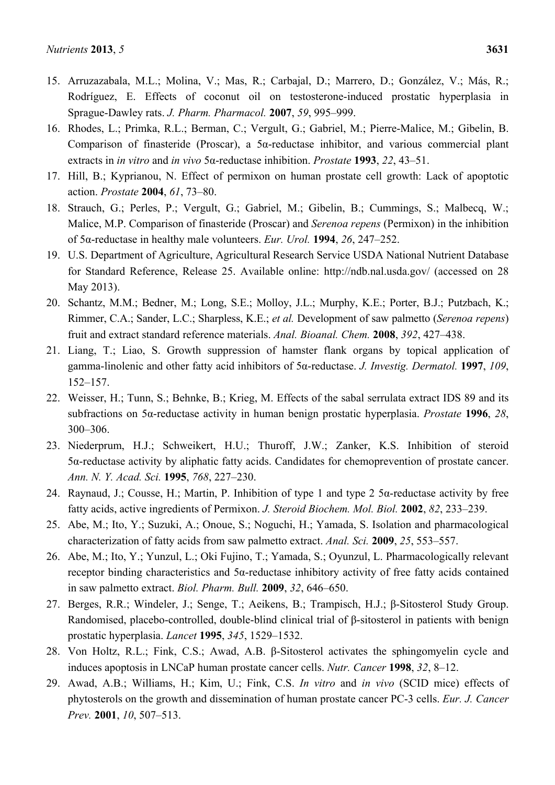- 15. Arruzazabala, M.L.; Molina, V.; Mas, R.; Carbajal, D.; Marrero, D.; González, V.; Más, R.; Rodríguez, E. Effects of coconut oil on testosterone-induced prostatic hyperplasia in Sprague-Dawley rats. *J. Pharm. Pharmacol.* **2007**, *59*, 995–999.
- 16. Rhodes, L.; Primka, R.L.; Berman, C.; Vergult, G.; Gabriel, M.; Pierre-Malice, M.; Gibelin, B. Comparison of finasteride (Proscar), a 5α-reductase inhibitor, and various commercial plant extracts in *in vitro* and *in vivo* 5α-reductase inhibition. *Prostate* **1993**, *22*, 43–51.
- 17. Hill, B.; Kyprianou, N. Effect of permixon on human prostate cell growth: Lack of apoptotic action. *Prostate* **2004**, *61*, 73–80.
- 18. Strauch, G.; Perles, P.; Vergult, G.; Gabriel, M.; Gibelin, B.; Cummings, S.; Malbecq, W.; Malice, M.P. Comparison of finasteride (Proscar) and *Serenoa repens* (Permixon) in the inhibition of 5α-reductase in healthy male volunteers. *Eur. Urol.* **1994**, *26*, 247–252.
- 19. U.S. Department of Agriculture, Agricultural Research Service USDA National Nutrient Database for Standard Reference, Release 25. Available online: http://ndb.nal.usda.gov/ (accessed on 28 May 2013).
- 20. Schantz, M.M.; Bedner, M.; Long, S.E.; Molloy, J.L.; Murphy, K.E.; Porter, B.J.; Putzbach, K.; Rimmer, C.A.; Sander, L.C.; Sharpless, K.E.; *et al.* Development of saw palmetto (*Serenoa repens*) fruit and extract standard reference materials. *Anal. Bioanal. Chem.* **2008**, *392*, 427–438.
- 21. Liang, T.; Liao, S. Growth suppression of hamster flank organs by topical application of gamma-linolenic and other fatty acid inhibitors of 5α-reductase. *J. Investig. Dermatol.* **1997**, *109*, 152–157.
- 22. Weisser, H.; Tunn, S.; Behnke, B.; Krieg, M. Effects of the sabal serrulata extract IDS 89 and its subfractions on 5α-reductase activity in human benign prostatic hyperplasia. *Prostate* **1996**, *28*, 300–306.
- 23. Niederprum, H.J.; Schweikert, H.U.; Thuroff, J.W.; Zanker, K.S. Inhibition of steroid 5α-reductase activity by aliphatic fatty acids. Candidates for chemoprevention of prostate cancer. *Ann. N. Y. Acad. Sci.* **1995**, *768*, 227–230.
- 24. Raynaud, J.; Cousse, H.; Martin, P. Inhibition of type 1 and type 2  $5\alpha$ -reductase activity by free fatty acids, active ingredients of Permixon. *J. Steroid Biochem. Mol. Biol.* **2002**, *82*, 233–239.
- 25. Abe, M.; Ito, Y.; Suzuki, A.; Onoue, S.; Noguchi, H.; Yamada, S. Isolation and pharmacological characterization of fatty acids from saw palmetto extract. *Anal. Sci.* **2009**, *25*, 553–557.
- 26. Abe, M.; Ito, Y.; Yunzul, L.; Oki Fujino, T.; Yamada, S.; Oyunzul, L. Pharmacologically relevant receptor binding characteristics and 5α-reductase inhibitory activity of free fatty acids contained in saw palmetto extract. *Biol. Pharm. Bull.* **2009**, *32*, 646–650.
- 27. Berges, R.R.; Windeler, J.; Senge, T.; Aeikens, B.; Trampisch, H.J.; β-Sitosterol Study Group. Randomised, placebo-controlled, double-blind clinical trial of β-sitosterol in patients with benign prostatic hyperplasia. *Lancet* **1995**, *345*, 1529–1532.
- 28. Von Holtz, R.L.; Fink, C.S.; Awad, A.B. β-Sitosterol activates the sphingomyelin cycle and induces apoptosis in LNCaP human prostate cancer cells. *Nutr. Cancer* **1998**, *32*, 8–12.
- 29. Awad, A.B.; Williams, H.; Kim, U.; Fink, C.S. *In vitro* and *in vivo* (SCID mice) effects of phytosterols on the growth and dissemination of human prostate cancer PC-3 cells. *Eur. J. Cancer Prev.* **2001**, *10*, 507–513.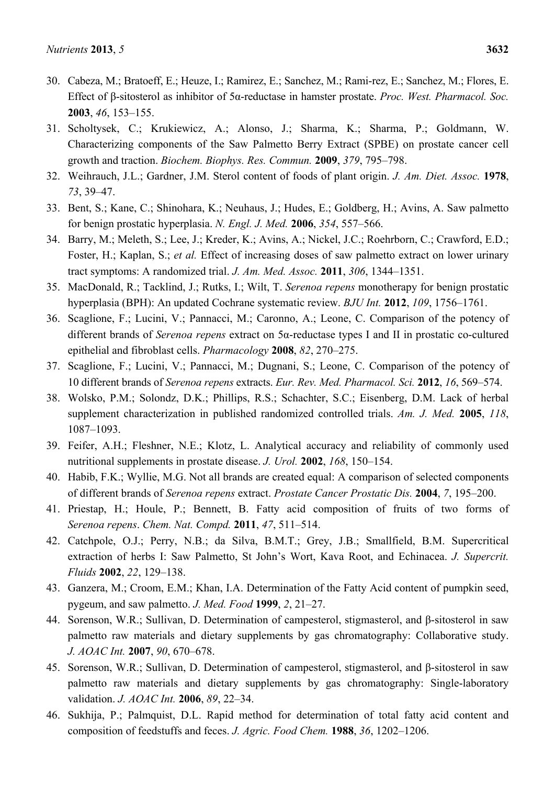- 30. Cabeza, M.; Bratoeff, E.; Heuze, I.; Ramirez, E.; Sanchez, M.; Rami-rez, E.; Sanchez, M.; Flores, E. Effect of β-sitosterol as inhibitor of 5α-reductase in hamster prostate. *Proc. West. Pharmacol. Soc.* **2003**, *46*, 153–155.
- 31. Scholtysek, C.; Krukiewicz, A.; Alonso, J.; Sharma, K.; Sharma, P.; Goldmann, W. Characterizing components of the Saw Palmetto Berry Extract (SPBE) on prostate cancer cell growth and traction. *Biochem. Biophys. Res. Commun.* **2009**, *379*, 795–798.
- 32. Weihrauch, J.L.; Gardner, J.M. Sterol content of foods of plant origin. *J. Am. Diet. Assoc.* **1978**, *73*, 39–47.
- 33. Bent, S.; Kane, C.; Shinohara, K.; Neuhaus, J.; Hudes, E.; Goldberg, H.; Avins, A. Saw palmetto for benign prostatic hyperplasia. *N. Engl. J. Med.* **2006**, *354*, 557–566.
- 34. Barry, M.; Meleth, S.; Lee, J.; Kreder, K.; Avins, A.; Nickel, J.C.; Roehrborn, C.; Crawford, E.D.; Foster, H.; Kaplan, S.; *et al.* Effect of increasing doses of saw palmetto extract on lower urinary tract symptoms: A randomized trial. *J. Am. Med. Assoc.* **2011**, *306*, 1344–1351.
- 35. MacDonald, R.; Tacklind, J.; Rutks, I.; Wilt, T. *Serenoa repens* monotherapy for benign prostatic hyperplasia (BPH): An updated Cochrane systematic review. *BJU Int.* **2012**, *109*, 1756–1761.
- 36. Scaglione, F.; Lucini, V.; Pannacci, M.; Caronno, A.; Leone, C. Comparison of the potency of different brands of *Serenoa repens* extract on 5α-reductase types I and II in prostatic co-cultured epithelial and fibroblast cells. *Pharmacology* **2008**, *82*, 270–275.
- 37. Scaglione, F.; Lucini, V.; Pannacci, M.; Dugnani, S.; Leone, C. Comparison of the potency of 10 different brands of *Serenoa repens* extracts. *Eur. Rev. Med. Pharmacol. Sci.* **2012**, *16*, 569–574.
- 38. Wolsko, P.M.; Solondz, D.K.; Phillips, R.S.; Schachter, S.C.; Eisenberg, D.M. Lack of herbal supplement characterization in published randomized controlled trials. *Am. J. Med.* **2005**, *118*, 1087–1093.
- 39. Feifer, A.H.; Fleshner, N.E.; Klotz, L. Analytical accuracy and reliability of commonly used nutritional supplements in prostate disease. *J. Urol.* **2002**, *168*, 150–154.
- 40. Habib, F.K.; Wyllie, M.G. Not all brands are created equal: A comparison of selected components of different brands of *Serenoa repens* extract. *Prostate Cancer Prostatic Dis.* **2004**, *7*, 195–200.
- 41. Priestap, H.; Houle, P.; Bennett, B. Fatty acid composition of fruits of two forms of *Serenoa repens*. *Chem. Nat. Compd.* **2011**, *47*, 511–514.
- 42. Catchpole, O.J.; Perry, N.B.; da Silva, B.M.T.; Grey, J.B.; Smallfield, B.M. Supercritical extraction of herbs I: Saw Palmetto, St John's Wort, Kava Root, and Echinacea. *J. Supercrit. Fluids* **2002**, *22*, 129–138.
- 43. Ganzera, M.; Croom, E.M.; Khan, I.A. Determination of the Fatty Acid content of pumpkin seed, pygeum, and saw palmetto. *J. Med. Food* **1999**, *2*, 21–27.
- 44. Sorenson, W.R.; Sullivan, D. Determination of campesterol, stigmasterol, and β-sitosterol in saw palmetto raw materials and dietary supplements by gas chromatography: Collaborative study. *J. AOAC Int.* **2007**, *90*, 670–678.
- 45. Sorenson, W.R.; Sullivan, D. Determination of campesterol, stigmasterol, and β-sitosterol in saw palmetto raw materials and dietary supplements by gas chromatography: Single-laboratory validation. *J. AOAC Int.* **2006**, *89*, 22–34.
- 46. Sukhija, P.; Palmquist, D.L. Rapid method for determination of total fatty acid content and composition of feedstuffs and feces. *J. Agric. Food Chem.* **1988**, *36*, 1202–1206.